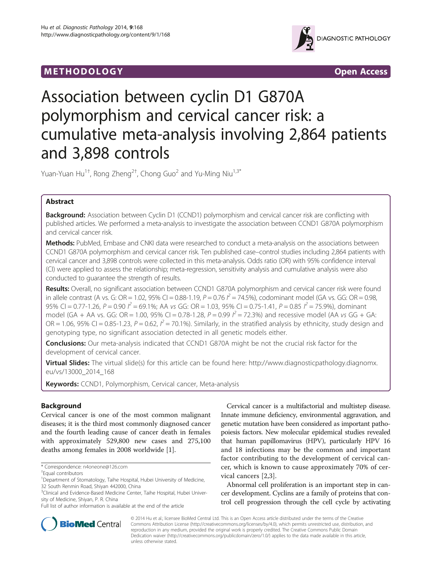## M E THODO L OGY Open Access



# Association between cyclin D1 G870A polymorphism and cervical cancer risk: a cumulative meta-analysis involving 2,864 patients and 3,898 controls

Yuan-Yuan Hu<sup>1†</sup>, Rong Zheng<sup>2†</sup>, Chong Guo<sup>2</sup> and Yu-Ming Niu<sup>1,3\*</sup>

## Abstract

**Background:** Association between Cyclin D1 (CCND1) polymorphism and cervical cancer risk are conflicting with published articles. We performed a meta-analysis to investigate the association between CCND1 G870A polymorphism and cervical cancer risk.

Methods: PubMed, Embase and CNKI data were researched to conduct a meta-analysis on the associations between CCND1 G870A polymorphism and cervical cancer risk. Ten published case–control studies including 2,864 patients with cervical cancer and 3,898 controls were collected in this meta-analysis. Odds ratio (OR) with 95% confidence interval (CI) were applied to assess the relationship; meta-regression, sensitivity analysis and cumulative analysis were also conducted to guarantee the strength of results.

Results: Overall, no significant association between CCND1 G870A polymorphism and cervical cancer risk were found in allele contrast (A vs. G: OR = 1.02, 95% CI = 0.88-1.19,  $P = 0.76$   $\hat{P} = 74.5$ %), codominant model (GA vs. GG: OR = 0.98, 95% CI = 0.77-1.26, P = 0.90  $l^2$  = 69.1%; AA vs GG: OR = 1.03, 95% CI = 0.75-1.41, P = 0.85  $l^2$  = 75.9%), dominant model (GA + AA vs. GG: OR = 1.00, 95% CI = 0.78-1.28,  $P = 0.99$   $I^2 = 72.3$ %) and recessive model (AA vs GG + GA: OR = 1.06, 95% CI = 0.85-1.23,  $P = 0.62$ ,  $I^2 = 70.1$ %). Similarly, in the stratified analysis by ethnicity, study design and genotyping type, no significant association detected in all genetic models either.

Conclusions: Our meta-analysis indicated that CCND1 G870A might be not the crucial risk factor for the development of cervical cancer.

Virtual Slides: The virtual slide(s) for this article can be found here: [http://www.diagnosticpathology.diagnomx.](http://www.diagnosticpathology.diagnomx.eu/vs/13000_2014_168) [eu/vs/13000\\_2014\\_168](http://www.diagnosticpathology.diagnomx.eu/vs/13000_2014_168)

Keywords: CCND1, Polymorphism, Cervical cancer, Meta-analysis

## Background

Cervical cancer is one of the most common malignant diseases; it is the third most commonly diagnosed cancer and the fourth leading cause of cancer death in females with approximately 529,800 new cases and 275,100 deaths among females in 2008 worldwide [\[1](#page-6-0)].

Cervical cancer is a multifactorial and multistep disease. Innate immune deficiency, environmental aggravation, and genetic mutation have been considered as important pathopoiesis factors. New molecular epidemical studies revealed that human papillomavirus (HPV), particularly HPV 16 and 18 infections may be the common and important factor contributing to the development of cervical cancer, which is known to cause approximately 70% of cervical cancers [[2,3](#page-6-0)].

Abnormal cell proliferation is an important step in cancer development. Cyclins are a family of proteins that control cell progression through the cell cycle by activating



© 2014 Hu et al.; licensee BioMed Central Ltd. This is an Open Access article distributed under the terms of the Creative Commons Attribution License [\(http://creativecommons.org/licenses/by/4.0\)](http://creativecommons.org/licenses/by/4.0), which permits unrestricted use, distribution, and reproduction in any medium, provided the original work is properly credited. The Creative Commons Public Domain Dedication waiver [\(http://creativecommons.org/publicdomain/zero/1.0/](http://creativecommons.org/publicdomain/zero/1.0/)) applies to the data made available in this article, unless otherwise stated.

<sup>\*</sup> Correspondence: [n4oneone@126.com](mailto:n4oneone@126.com) †

Equal contributors

<sup>&</sup>lt;sup>1</sup>Department of Stomatology, Taihe Hospital, Hubei University of Medicine, 32 South Renmin Road, Shiyan 442000, China

<sup>&</sup>lt;sup>3</sup>Clinical and Evidence-Based Medicine Center, Taihe Hospital, Hubei University of Medicine, Shiyan, P. R. China

Full list of author information is available at the end of the article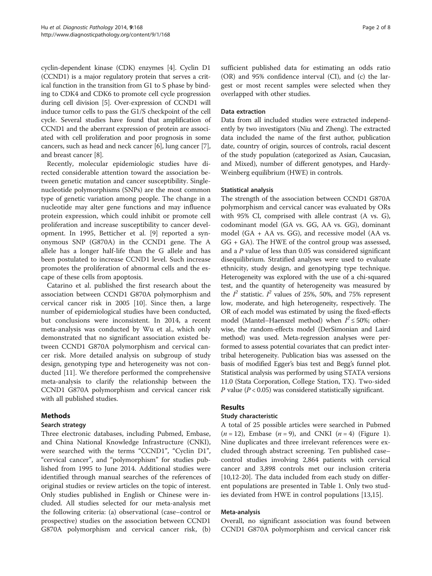cyclin-dependent kinase (CDK) enzymes [\[4](#page-6-0)]. Cyclin D1 (CCND1) is a major regulatory protein that serves a critical function in the transition from G1 to S phase by binding to CDK4 and CDK6 to promote cell cycle progression during cell division [[5](#page-6-0)]. Over-expression of CCND1 will induce tumor cells to pass the G1/S checkpoint of the cell cycle. Several studies have found that amplification of CCND1 and the aberrant expression of protein are associated with cell proliferation and poor prognosis in some cancers, such as head and neck cancer [[6\]](#page-6-0), lung cancer [\[7](#page-6-0)], and breast cancer [[8\]](#page-6-0).

Recently, molecular epidemiologic studies have directed considerable attention toward the association between genetic mutation and cancer susceptibility. Singlenucleotide polymorphisms (SNPs) are the most common type of genetic variation among people. The change in a nucleotide may alter gene functions and may influence protein expression, which could inhibit or promote cell proliferation and increase susceptibility to cancer development. In 1995, Betticher et al. [[9\]](#page-6-0) reported a synonymous SNP (G870A) in the CCND1 gene. The A allele has a longer half-life than the G allele and has been postulated to increase CCND1 level. Such increase promotes the proliferation of abnormal cells and the escape of these cells from apoptosis.

Catarino et al. published the first research about the association between CCND1 G870A polymorphism and cervical cancer risk in 2005 [\[10](#page-6-0)]. Since then, a large number of epidemiological studies have been conducted, but conclusions were inconsistent. In 2014, a recent meta-analysis was conducted by Wu et al., which only demonstrated that no significant association existed between CCND1 G870A polymorphism and cervical cancer risk. More detailed analysis on subgroup of study design, genotyping type and heterogeneity was not conducted [[11\]](#page-6-0). We therefore performed the comprehensive meta-analysis to clarify the relationship between the CCND1 G870A polymorphism and cervical cancer risk with all published studies.

## Methods

## Search strategy

Three electronic databases, including Pubmed, Embase, and China National Knowledge Infrastructure (CNKI), were searched with the terms "CCND1", "Cyclin D1", "cervical cancer", and "polymorphism" for studies published from 1995 to June 2014. Additional studies were identified through manual searches of the references of original studies or review articles on the topic of interest. Only studies published in English or Chinese were included. All studies selected for our meta-analysis met the following criteria: (a) observational (case–control or prospective) studies on the association between CCND1 G870A polymorphism and cervical cancer risk, (b) sufficient published data for estimating an odds ratio (OR) and 95% confidence interval (CI), and (c) the largest or most recent samples were selected when they overlapped with other studies.

#### Data extraction

Data from all included studies were extracted independently by two investigators (Niu and Zheng). The extracted data included the name of the first author, publication date, country of origin, sources of controls, racial descent of the study population (categorized as Asian, Caucasian, and Mixed), number of different genotypes, and Hardy-Weinberg equilibrium (HWE) in controls.

#### Statistical analysis

The strength of the association between CCND1 G870A polymorphism and cervical cancer was evaluated by ORs with 95% CI, comprised with allele contrast (A vs. G), codominant model (GA vs. GG, AA vs. GG), dominant model (GA + AA vs. GG), and recessive model (AA vs.  $GG + GA$ ). The HWE of the control group was assessed, and a P value of less than 0.05 was considered significant disequilibrium. Stratified analyses were used to evaluate ethnicity, study design, and genotyping type technique. Heterogeneity was explored with the use of a chi-squared test, and the quantity of heterogeneity was measured by the  $I^2$  statistic.  $I^2$  values of 25%, 50%, and 75% represent low, moderate, and high heterogeneity, respectively. The OR of each model was estimated by using the fixed-effects model (Mantel-Haenszel method) when  $I^2 \le 50\%$ ; otherwise, the random-effects model (DerSimonian and Laird method) was used. Meta-regression analyses were performed to assess potential covariates that can predict intertribal heterogeneity. Publication bias was assessed on the basis of modified Egger's bias test and Begg's funnel plot. Statistical analysis was performed by using STATA versions 11.0 (Stata Corporation, College Station, TX). Two-sided P value ( $P < 0.05$ ) was considered statistically significant.

## Results

## Study characteristic

A total of 25 possible articles were searched in Pubmed  $(n = 12)$  $(n = 12)$  $(n = 12)$ , Embase  $(n = 9)$ , and CNKI  $(n = 4)$  (Figure 1). Nine duplicates and three irrelevant references were excluded through abstract screening. Ten published case– control studies involving 2,864 patients with cervical cancer and 3,898 controls met our inclusion criteria [[10,12-](#page-6-0)[20\]](#page-7-0). The data included from each study on different populations are presented in Table [1](#page-2-0). Only two studies deviated from HWE in control populations [\[13](#page-6-0)[,15](#page-7-0)].

## Meta-analysis

Overall, no significant association was found between CCND1 G870A polymorphism and cervical cancer risk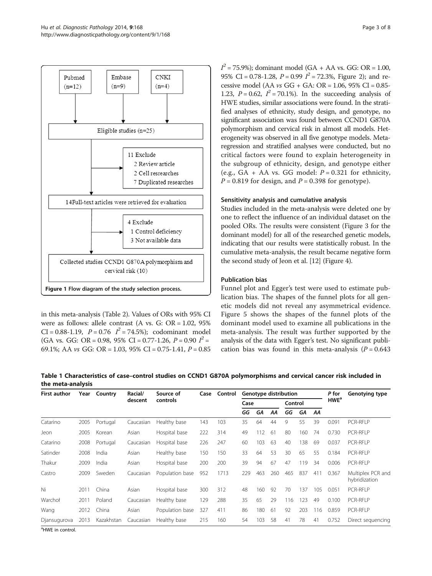<span id="page-2-0"></span>

in this meta-analysis (Table [2\)](#page-3-0). Values of ORs with 95% CI were as follows: allele contrast (A vs. G: OR = 1.02, 95%  $CI = 0.88 - 1.19$ ,  $P = 0.76$   $I^2 = 74.5\%$ ; codominant model (GA vs. GG: OR = 0.98, 95% CI = 0.77-1.26,  $P = 0.90$   $I^2 =$ 69.1%; AA  $vs$  GG: OR = 1.03, 95% CI = 0.75-1.41,  $P = 0.85$ 

 $I^2$  = 75.9%); dominant model (GA + AA vs. GG: OR = 1.00, 95% CI = 0.78-1.28,  $P = 0.99$   $I^2 = 72.3$ %, Figure [2\)](#page-4-0); and recessive model (AA vs GG + GA: OR = 1.06, 95% CI = 0.85- 1.23,  $P = 0.62$ ,  $I^2 = 70.1\%$ ). In the succeeding analysis of HWE studies, similar associations were found. In the stratified analyses of ethnicity, study design, and genotype, no significant association was found between CCND1 G870A polymorphism and cervical risk in almost all models. Heterogeneity was observed in all five genotype models. Metaregression and stratified analyses were conducted, but no critical factors were found to explain heterogeneity in the subgroup of ethnicity, design, and genotype either (e.g.,  $GA + AA$  vs.  $GG$  model:  $P = 0.321$  for ethnicity,  $P = 0.819$  for design, and  $P = 0.398$  for genotype).

#### Sensitivity analysis and cumulative analysis

Studies included in the meta-analysis were deleted one by one to reflect the influence of an individual dataset on the pooled ORs. The results were consistent (Figure [3](#page-4-0) for the dominant model) for all of the researched genetic models, indicating that our results were statistically robust. In the cumulative meta-analysis, the result became negative form the second study of Jeon et al. [[12\]](#page-6-0) (Figure [4](#page-5-0)).

#### Publication bias

Funnel plot and Egger's test were used to estimate publication bias. The shapes of the funnel plots for all genetic models did not reveal any asymmetrical evidence. Figure [5](#page-5-0) shows the shapes of the funnel plots of the dominant model used to examine all publications in the meta-analysis. The result was further supported by the analysis of the data with Egger's test. No significant publication bias was found in this meta-analysis  $(P = 0.643)$ 

Table 1 Characteristics of case–control studies on CCND1 G870A polymorphisms and cervical cancer risk included in the meta-analysis

| <b>First author</b> | Year | Country    | Racial/<br>descent | Source of<br>controls | Case | Control |                |     | Genotype distribution |          | P for | Genotying type |                         |                                    |
|---------------------|------|------------|--------------------|-----------------------|------|---------|----------------|-----|-----------------------|----------|-------|----------------|-------------------------|------------------------------------|
|                     |      |            |                    |                       |      |         | Case           |     |                       | Control  |       |                | <b>HWE</b> <sup>a</sup> |                                    |
|                     |      |            |                    |                       |      |         | GG<br>GА<br>ΑA |     | GG                    | GA<br>AA |       |                |                         |                                    |
| Catarino            | 2005 | Portugal   | Caucasian          | Healthy base          | 143  | 103     | 35             | 64  | 44                    | 9        | 55    | 39             | 0.091                   | <b>PCR-RFLP</b>                    |
| Jeon                | 2005 | Korean     | Asian              | Hospital base         | 222  | 314     | 49             | 112 | 61                    | 80       | 160   | 74             | 0.730                   | PCR-RFLP                           |
| Catarino            | 2008 | Portugal   | Caucasian          | Hospital base         | 226  | 247     | 60             | 103 | 63                    | 40       | 138   | 69             | 0.037                   | PCR-RFLP                           |
| Satinder            | 2008 | India      | Asian              | Healthy base          | 150  | 150     | 33             | 64  | 53                    | 30       | 65    | 55             | 0.184                   | PCR-RFLP                           |
| Thakur              | 2009 | India      | Asian              | Hospital base         | 200  | 200     | 39             | 94  | 67                    | 47       | 119   | 34             | 0.006                   | PCR-RFLP                           |
| Castro              | 2009 | Sweden     | Caucasian          | Population base       | 952  | 1713    | 229            | 463 | 260                   | 465      | 837   | 411            | 0.367                   | Multiplex PCR and<br>hybridization |
| Ni                  | 2011 | China      | Asian              | Hospital base         | 300  | 312     | 48             | 160 | 92                    | 70       | 137   | 105            | 0.051                   | PCR-RFLP                           |
| Warchoł             | 2011 | Poland     | Caucasian          | Healthy base          | 129  | 288     | 35             | 65  | 29                    | 116      | 123   | 49             | 0.100                   | PCR-RFLP                           |
| Wang                | 2012 | China      | Asian              | Population base       | 327  | 411     | 86             | 180 | 61                    | 92       | 203   | 116            | 0.859                   | PCR-RFLP                           |
| Djansugurova        | 2013 | Kazakhstan | Caucasian          | Healthy base          | 215  | 160     | 54             | 103 | 58                    | 41       | 78    | 41             | 0.752                   | Direct sequencing                  |

<sup>a</sup>HWE in control.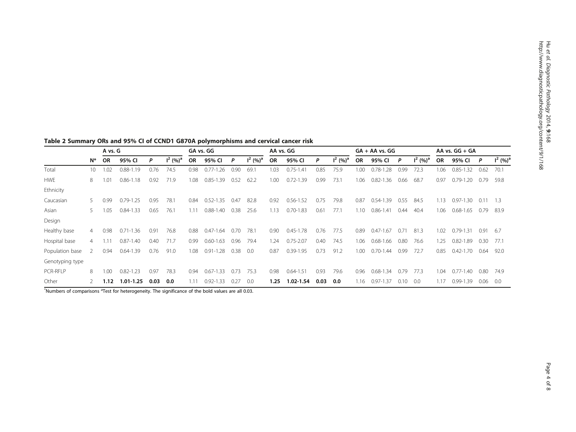Hu etal.

|                 |               | A vs. G   |                   |      |                        | GA vs. GG |               |      |             | AA vs. GG |               |      |             | $GA + AA$ vs. $GG$ |                   |      |             |                   | AA vs. $GG + GA$  |      |                        |  |
|-----------------|---------------|-----------|-------------------|------|------------------------|-----------|---------------|------|-------------|-----------|---------------|------|-------------|--------------------|-------------------|------|-------------|-------------------|-------------------|------|------------------------|--|
|                 | N*            | <b>OR</b> | 95% CI            | P    | $1^2$ (%) <sup>a</sup> | <b>OR</b> | 95% CI        | P    | $1^2 (%)^a$ | <b>OR</b> | 95% CI        | P    | $I^2 (%)^a$ | <b>OR</b>          | 95% CI            | P    | $I^2 (%)^a$ | <b>OR</b>         | 95% CI            | P    | $1^2$ (%) <sup>a</sup> |  |
| Total           | 10            | 1.02      | $0.88 - 1.19$     | 0.76 | 74.5                   | 0.98      | $0.77 - 1.26$ | 0.90 | 69.1        | 1.03      | $0.75 - 1.41$ | 0.85 | 75.9        | 1.00               | $0.78 - 1$<br>.28 | 0.99 | 72.3        | 1.06              | $0.85 - 1.32$     | 0.62 | 70.1                   |  |
| <b>HWE</b>      | 8             | 1.01      | $0.86 - 1.18$     | 0.92 | 71.9                   | 1.08      | $0.85 - 1.39$ | 0.52 | 62.2        | 1.00      | $0.72 - 1.39$ | 0.99 | 73.1        | 1.06               | $0.82 - 1$<br>.36 | 0.66 | 68.7        | 0.97              | $0.79 - 1.20$     | 0.79 | 59.8                   |  |
| Ethnicity       |               |           |                   |      |                        |           |               |      |             |           |               |      |             |                    |                   |      |             |                   |                   |      |                        |  |
| Caucasian       | 5.            | 0.99      | $0.79 - 1$<br>.25 | 0.95 | 78.1                   | 0.84      | $0.52 - 1.35$ | 0.47 | 82.8        | 0.92      | $0.56 - 1.52$ | 0.75 | 79.8        | 0.87               | $0.54 - 1$<br>.39 | 0.55 | 84.5        | 1.13              | .30<br>$0.97 - 1$ | 0.11 | 1.3                    |  |
| Asian           | 5.            | 1.05      | $0.84 - 1.33$     | 0.65 | 76.1                   | 1.11      | $0.88 - 1.40$ | 0.38 | 25.6        | 1.13      | $0.70 - 1.83$ | 0.61 | 77.1        | 1.10               | $0.86 - 1.41$     | 0.44 | 40.4        | 1.06              | $0.68 - 1.65$     | 0.79 | 83.9                   |  |
| Design          |               |           |                   |      |                        |           |               |      |             |           |               |      |             |                    |                   |      |             |                   |                   |      |                        |  |
| Healthy base    | 4             | 0.98      | .36<br>$0.71 - 1$ | 0.91 | 76.8                   | 0.88      | $0.47 - 1.64$ | 0.70 | 78.1        | 0.90      | $0.45 - 1.78$ | 0.76 | 77.5        | 0.89               | $0.47 - 1.67$     | 0.71 | 81.3        | 1.02 <sub>1</sub> | $0.79 - 1.31$     | 0.91 | -6.7                   |  |
| Hospital base   | 4             | 1.11      | $0.87 - 1.40$     | 0.40 | 71.7                   | 0.99      | $0.60 - 1.63$ | 0.96 | 79.4        | .24       | $0.75 - 2.07$ | 0.40 | 74.5        | 1.06               | $0.68 - 1.66$     | 0.80 | 76.6        | 1.25              | $0.82 - 1.89$     | 0.30 | 77.1                   |  |
| Population base | $\mathcal{P}$ | 0.94      | $0.64 - 1.39$     | 0.76 | 91.0                   | 1.08      | $0.91 - 1.28$ | 0.38 | 0.0         | 0.87      | 0.39-1.95     | 0.73 | 91.2        | 1.00               | $0.70 - 1.44$     | 0.99 | 72.7        | 0.85              | $0.42 - 1.70$     | 0.64 | 92.0                   |  |
| Genotyping type |               |           |                   |      |                        |           |               |      |             |           |               |      |             |                    |                   |      |             |                   |                   |      |                        |  |
| <b>PCR-RFLP</b> | 8             | 1.00      | $0.82 - 1.23$     | 0.97 | 78.3                   | 0.94      | $0.67 - 1.33$ | 0.73 | 75.3        | 0.98      | $0.64 - 1.51$ | 0.93 | 79.6        | 0.96               | $0.68 - 1.34$     | 0.79 | 77.3        | 1.04              | $0.77 - 1.40$     | 0.80 | 74.9                   |  |
| Other           |               | 1.12      | $1.01 - 1.25$     | 0.03 | 0.0                    | 1.11      | $0.92 - 1.33$ | 0.27 | 0.0         | 1.25      | $1.02 - 1.54$ | 0.03 | 0.0         | 1.16               | 0.97-1.37         | 0.10 | 0.0         | 1.17              | 0.99-1.39         | 0.06 | 0.0                    |  |

<span id="page-3-0"></span>Table 2 Summary ORs and 95% CI of CCND1 G870A polymorphisms and cervical cancer risk

\*Numbers of comparisons <sup>a</sup>Test for heterogeneity. The significance of the bold values are all 0.03.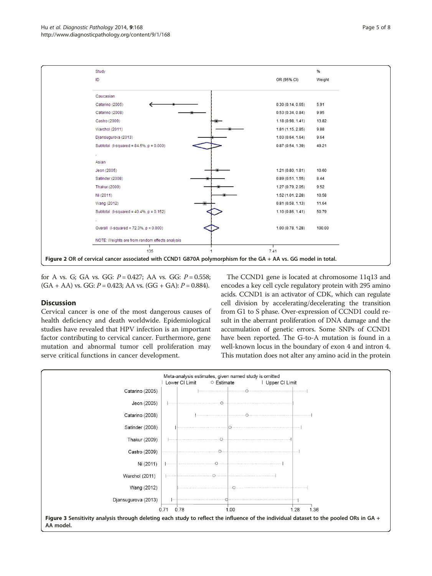<span id="page-4-0"></span>

for A vs. G; GA vs. GG:  $P = 0.427$ ; AA vs. GG:  $P = 0.558$ ;  $(GA + AA)$  vs.  $GG: P = 0.423$ ; AA vs.  $(GG + GA): P = 0.884$ .

## **Discussion**

Cervical cancer is one of the most dangerous causes of health deficiency and death worldwide. Epidemiological studies have revealed that HPV infection is an important factor contributing to cervical cancer. Furthermore, gene mutation and abnormal tumor cell proliferation may serve critical functions in cancer development.

The CCND1 gene is located at chromosome 11q13 and encodes a key cell cycle regulatory protein with 295 amino acids. CCND1 is an activator of CDK, which can regulate cell division by accelerating/decelerating the transition from G1 to S phase. Over-expression of CCND1 could result in the aberrant proliferation of DNA damage and the accumulation of genetic errors. Some SNPs of CCND1 have been reported. The G-to-A mutation is found in a well-known locus in the boundary of exon 4 and intron 4. This mutation does not alter any amino acid in the protein

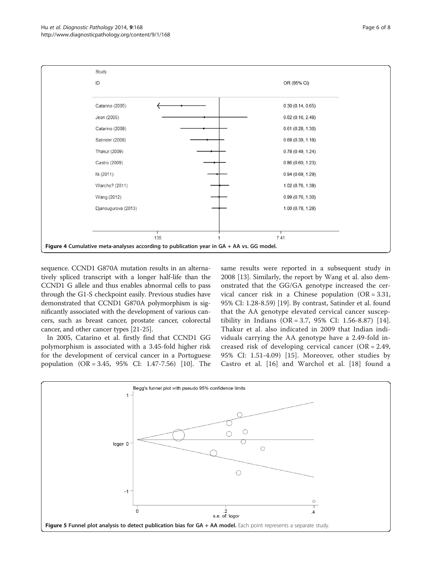<span id="page-5-0"></span>

sequence. CCND1 G870A mutation results in an alternatively spliced transcript with a longer half-life than the CCND1 G allele and thus enables abnormal cells to pass through the G1-S checkpoint easily. Previous studies have demonstrated that CCND1 G870A polymorphism is significantly associated with the development of various cancers, such as breast cancer, prostate cancer, colorectal cancer, and other cancer types [\[21-25\]](#page-7-0).

In 2005, Catarino et al. firstly find that CCND1 GG polymorphism is associated with a 3.45-fold higher risk for the development of cervical cancer in a Portuguese population (OR = 3.45, 95% CI: 1.47-7.56) [[10](#page-6-0)]. The

same results were reported in a subsequent study in 2008 [[13\]](#page-6-0). Similarly, the report by Wang et al. also demonstrated that the GG/GA genotype increased the cervical cancer risk in a Chinese population (OR = 3.31, 95% CI: 1.28-8.59) [[19\]](#page-7-0). By contrast, Satinder et al. found that the AA genotype elevated cervical cancer suscep-tibility in Indians (OR = 3.7, 95% CI: 1.56-8.87) [[14](#page-6-0)]. Thakur et al. also indicated in 2009 that Indian individuals carrying the AA genotype have a 2.49-fold increased risk of developing cervical cancer (OR = 2.49, 95% CI: 1.51-4.09) [\[15\]](#page-7-0). Moreover, other studies by Castro et al. [\[16](#page-7-0)] and Warchol et al. [[18\]](#page-7-0) found a

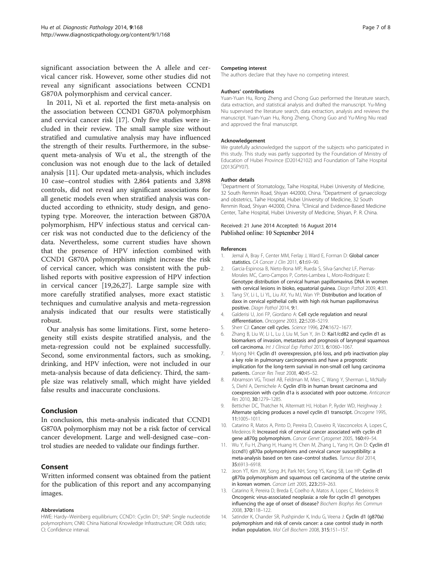<span id="page-6-0"></span>significant association between the A allele and cervical cancer risk. However, some other studies did not reveal any significant associations between CCND1 G870A polymorphism and cervical cancer.

In 2011, Ni et al. reported the first meta-analysis on the association between CCND1 G870A polymorphism and cervical cancer risk [[17\]](#page-7-0). Only five studies were included in their review. The small sample size without stratified and cumulative analysis may have influenced the strength of their results. Furthermore, in the subsequent meta-analysis of Wu et al., the strength of the conclusion was not enough due to the lack of detailed analysis [11]. Our updated meta-analysis, which includes 10 case–control studies with 2,864 patients and 3,898 controls, did not reveal any significant associations for all genetic models even when stratified analysis was conducted according to ethnicity, study design, and genotyping type. Moreover, the interaction between G870A polymorphism, HPV infectious status and cervical cancer risk was not conducted due to the deficiency of the data. Nevertheless, some current studies have shown that the presence of HPV infection combined with CCND1 G870A polymorphism might increase the risk of cervical cancer, which was consistent with the published reports with positive expression of HPV infection in cervical cancer [\[19,26,27](#page-7-0)]. Large sample size with more carefully stratified analyses, more exact statistic techniques and cumulative analysis and meta-regression analysis indicated that our results were statistically robust.

Our analysis has some limitations. First, some heterogeneity still exists despite stratified analysis, and the meta-regression could not be explained successfully. Second, some environmental factors, such as smoking, drinking, and HPV infection, were not included in our meta-analysis because of data deficiency. Third, the sample size was relatively small, which might have yielded false results and inaccurate conclusions.

#### Conclusion

In conclusion, this meta-analysis indicated that CCND1 G870A polymorphism may not be a risk factor of cervical cancer development. Large and well-designed case–control studies are needed to validate our findings further.

## Consent

Written informed consent was obtained from the patient for the publication of this report and any accompanying images.

#### Abbreviations

HWE: Hardy–Weinberg equilibrium; CCND1: Cyclin D1; SNP: Single nucleotide polymorphism; CNKI: China National Knowledge Infrastructure; OR: Odds ratio; CI: Confidence interval.

#### Competing interest

The authors declare that they have no competing interest.

#### Authors' contributions

Yuan-Yuan Hu, Rong Zheng and Chong Guo performed the literature search, data extraction, and statistical analysis and drafted the manuscript. Yu-Ming Niu supervised the literature search, data extraction, analysis and reviews the manuscript. Yuan-Yuan Hu, Rong Zheng, Chong Guo and Yu-Ming Niu read and approved the final manuscript.

#### Acknowledgement

We gratefully acknowledged the support of the subjects who participated in this study. This study was partly supported by the Foundation of Ministry of Education of Hubei Province (D20142102) and Foundation of Taihe Hospital (2013GPY07).

#### Author details

<sup>1</sup>Department of Stomatology, Taihe Hospital, Hubei University of Medicine 32 South Renmin Road, Shiyan 442000, China. <sup>2</sup> Department of gynaecology and obstetrics, Taihe Hospital, Hubei University of Medicine, 32 South Renmin Road, Shiyan 442000, China. <sup>3</sup>Clinical and Evidence-Based Medicine Center, Taihe Hospital, Hubei University of Medicine, Shiyan, P. R. China.

#### Received: 21 June 2014 Accepted: 16 August 2014 Published online: 10 September 2014

#### References

- 1. Jemal A, Bray F, Center MM, Ferlay J, Ward E, Forman D: Global cancer statistics. CA Cancer J Clin 2011, 61:69-90.
- 2. Garcia-Espinosa B, Nieto-Bona MP, Rueda S, Silva-Sanchez LF, Piernas-Morales MC, Carro-Campos P, Cortes-Lambea L, Moro-Rodriguez E: Genotype distribution of cervical human papillomavirus DNA in women with cervical lesions in bioko, equatorial quinea. Diagn Pathol 2009, 4:31.
- 3. Tang SY, Li L, Li YL, Liu AY, Yu MJ, Wan YP: Distribution and location of daxx in cervical epithelial cells with high risk human papillomavirus positive. Diagn Pathol 2014, 9:1.
- 4. Galderisi U, Jori FP, Giordano A: Cell cycle regulation and neural differentiation. Oncogene 2003, 22:5208–5219.
- 5. Sherr CJ: Cancer cell cycles. Science 1996, 274:1672–1677.
- Zhang B, Liu W, Li L, Lu J, Liu M, Sun Y, Jin D: Kai1/cd82 and cyclin d1 as biomarkers of invasion, metastasis and prognosis of laryngeal squamous cell carcinoma. Int J Clinical Exp Pathol 2013, 6:1060–1067.
- 7. Myong NH: Cyclin d1 overexpression, p16 loss, and prb inactivation play a key role in pulmonary carcinogenesis and have a prognostic implication for the long-term survival in non-small cell lung carcinoma patients. Cancer Res Treat 2008, 40:45–52.
- 8. Abramson VG, Troxel AB, Feldman M, Mies C, Wang Y, Sherman L, McNally S, Diehl A, Demichele A: Cyclin d1b in human breast carcinoma and coexpression with cyclin d1a is associated with poor outcome. Anticancer Res 2010, 30:1279–1285.
- 9. Betticher DC, Thatcher N, Altermatt HJ, Hoban P, Ryder WD, Heighway J: Alternate splicing produces a novel cyclin d1 transcript. Oncogene 1995, 11:1005–1011.
- 10. Catarino R, Matos A, Pinto D, Pereira D, Craveiro R, Vasconcelos A, Lopes C, Medeiros R: Increased risk of cervical cancer associated with cyclin d1 gene a870g polymorphism. Cancer Genet Cytogenet 2005, 160:49–54.
- 11. Wu Y, Fu H, Zhang H, Huang H, Chen M, Zhang L, Yang H, Qin D: Cyclin d1 (ccnd1) g870a polymorphisms and cervical cancer susceptibility: a meta-analysis based on ten case–control studies. Tumour Biol 2014, 35:6913–6918.
- 12. Jeon YT, Kim JW, Song JH, Park NH, Song YS, Kang SB, Lee HP: Cyclin d1 g870a polymorphism and squamous cell carcinoma of the uterine cervix in korean women. Cancer Lett 2005, 223:259–263.
- 13. Catarino R, Pereira D, Breda E, Coelho A, Matos A, Lopes C, Medeiros R: Oncogenic virus-associated neoplasia: a role for cyclin d1 genotypes influencing the age of onset of disease? Biochem Biophys Res Commun 2008, 370:118–122.
- 14. Satinder K, Chander SR, Pushpinder K, Indu G, Veena J: Cyclin d1 (g870a) polymorphism and risk of cervix cancer: a case control study in north indian population. Mol Cell Biochem 2008, 315:151–157.